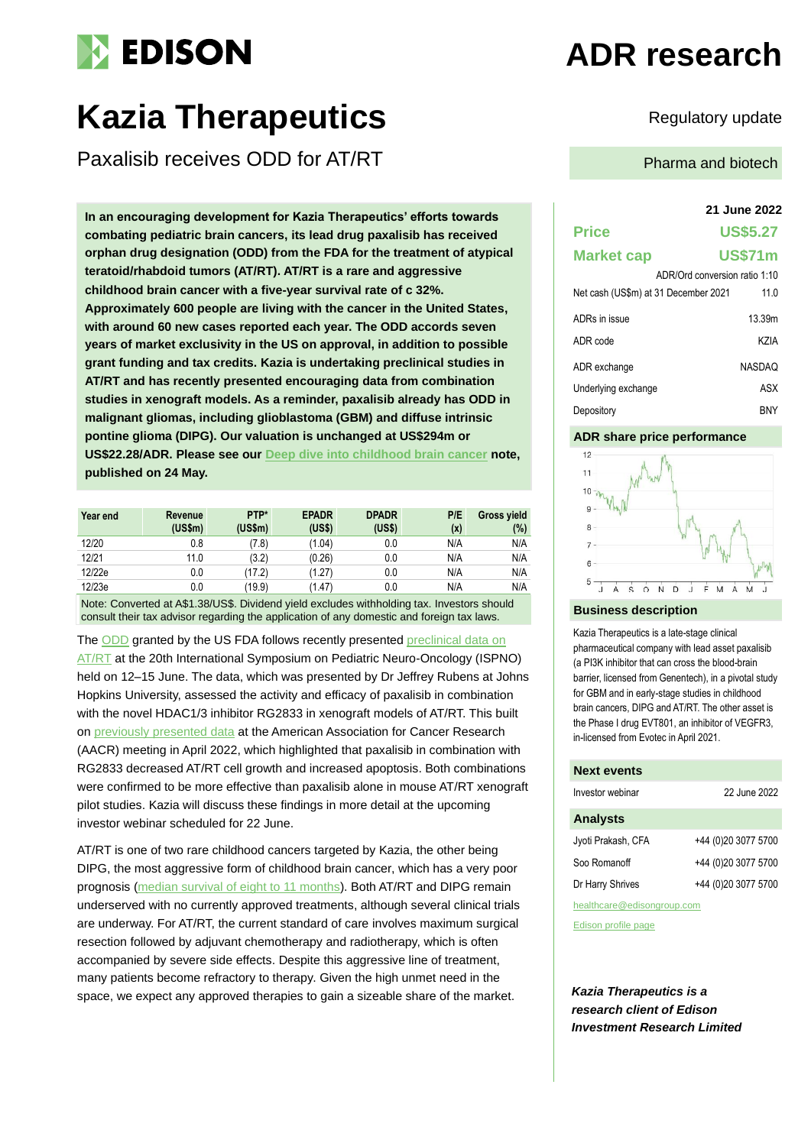# **EDISON**

## **Kazia Therapeutics** Regulatory update

Paxalisib receives ODD for AT/RT

**In an encouraging development for Kazia Therapeutics' efforts towards combating pediatric brain cancers, its lead drug paxalisib has received orphan drug designation (ODD) from the FDA for the treatment of atypical teratoid/rhabdoid tumors (AT/RT). AT/RT is a rare and aggressive childhood brain cancer with a five-year survival rate of c 32%. Approximately 600 people are living with the cancer in the United States, with around 60 new cases reported each year. The ODD accords seven years of market exclusivity in the US on approval, in addition to possible grant funding and tax credits. Kazia is undertaking preclinical studies in AT/RT and has recently presented encouraging data from combination studies in xenograft models. As a reminder, paxalisib already has ODD in malignant gliomas, including glioblastoma (GBM) and diffuse intrinsic pontine glioma (DIPG). Our valuation is unchanged at US\$294m or US\$22.28/ADR. Please see our [Deep dive into childhood brain cancer](https://www.edisongroup.com/publication/deep-dive-into-childhood-brain-cancer-2/30931/) note, published on 24 May.**

| Year end | Revenue<br>(US\$m) | PTP*<br>(USSm) | <b>EPADR</b><br>(USS) | <b>DPADR</b><br>(US\$) | P/E<br>(x) | Gross yield<br>(%) |
|----------|--------------------|----------------|-----------------------|------------------------|------------|--------------------|
| 12/20    | 0.8                | (7.8)          | (1.04)                | 0.0                    | N/A        | N/A                |
| 12/21    | 11.0               | (3.2)          | (0.26)                | 0.0                    | N/A        | N/A                |
| 12/22e   | 0.0                | (17.2)         | (1.27)                | 0.0                    | N/A        | N/A                |
| 12/23e   | 0.0                | (19.9)         | (1.47)                | 0.0                    | N/A        | N/A                |

Note: Converted at A\$1.38/US\$. Dividend yield excludes withholding tax. Investors should consult their tax advisor regarding the application of any domestic and foreign tax laws.

Th[e ODD](https://www.kaziatherapeutics.com/site/PDF/9640d28a-0022-4d61-be19-d6b3fd8f3258/FDAAWARDSORPHANDESIGNATIONTOPAXALISIBFORATRT) granted by the US FDA follows recently presented preclinical data on [AT/RT](https://www.kaziatherapeutics.com/site/PDF/b51c74f5-a16a-4586-bdaf-050ebabd4a25/KaziapaxalisibpreclinicalDIPGdatareleasedatIPSNO) at the 20th International Symposium on Pediatric Neuro-Oncology (ISPNO) held on 12–15 June. The data, which was presented by Dr Jeffrey Rubens at Johns Hopkins University, assessed the activity and efficacy of paxalisib in combination with the novel HDAC1/3 inhibitor RG2833 in xenograft models of AT/RT. This built on [previously presented data](https://www.kaziatherapeutics.com/site/PDF/b796df18-0707-4074-a139-7d1607bede44/KaziapresentspreclinicaldataforpaxalisibatAACR) at the American Association for Cancer Research (AACR) meeting in April 2022, which highlighted that paxalisib in combination with RG2833 decreased AT/RT cell growth and increased apoptosis. Both combinations were confirmed to be more effective than paxalisib alone in mouse AT/RT xenograft pilot studies. Kazia will discuss these findings in more detail at the upcoming investor webinar scheduled for 22 June.

AT/RT is one of two rare childhood cancers targeted by Kazia, the other being DIPG, the most aggressive form of childhood brain cancer, which has a very poor prognosis [\(median survival of eight to 11 months\)](https://dipg.org/dipg-facts/dipg-survival-rate-and-prognosis/). Both AT/RT and DIPG remain underserved with no currently approved treatments, although several clinical trials are underway. For AT/RT, the current standard of care involves maximum surgical resection followed by adjuvant chemotherapy and radiotherapy, which is often accompanied by severe side effects. Despite this aggressive line of treatment, many patients become refractory to therapy. Given the high unmet need in the space, we expect any approved therapies to gain a sizeable share of the market.

## **ADR research**

Pharma and biotech

## **21 June 2022**

## **Price US\$5.27 Market cap US\$71m**

|                                      | ADR/Ord conversion ratio 1:10 |        |
|--------------------------------------|-------------------------------|--------|
| Net cash (US\$m) at 31 December 2021 |                               | 11.0   |
| ADRs in issue                        |                               | 13.39m |
| ADR code                             |                               | K7IA   |
| ADR exchange                         |                               | NASDAO |
| Underlying exchange                  |                               | ASX    |
| Depository                           |                               | BNY    |

### **ADR share price performance**



### **Business description**

Kazia Therapeutics is a late-stage clinical pharmaceutical company with lead asset paxalisib (a PI3K inhibitor that can cross the blood-brain barrier, licensed from Genentech), in a pivotal study for GBM and in early-stage studies in childhood brain cancers, DIPG and AT/RT. The other asset is the Phase I drug EVT801, an inhibitor of VEGFR3, in-licensed from Evotec in April 2021.

#### **Next events**

| Investor webinar   | 22 June 2022        |  |  |
|--------------------|---------------------|--|--|
| <b>Analysts</b>    |                     |  |  |
| Jyoti Prakash, CFA | +44 (0)20 3077 5700 |  |  |
| Soo Romanoff       | +44 (0)20 3077 5700 |  |  |
| Dr Harry Shrives   | +44 (0)20 3077 5700 |  |  |
|                    |                     |  |  |

healthcare@edisongroup.com

[Edison profile page](https://www.edisongroup.com/company/kazia-therapeutics/)

*Kazia Therapeutics is a research client of Edison Investment Research Limited*